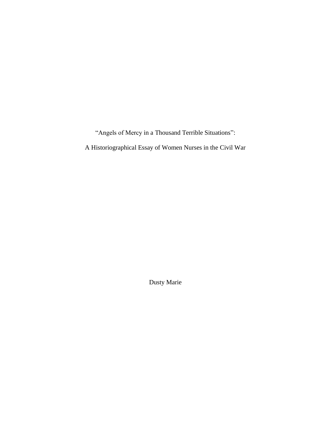"Angels of Mercy in a Thousand Terrible Situations":

A Historiographical Essay of Women Nurses in the Civil War

Dusty Marie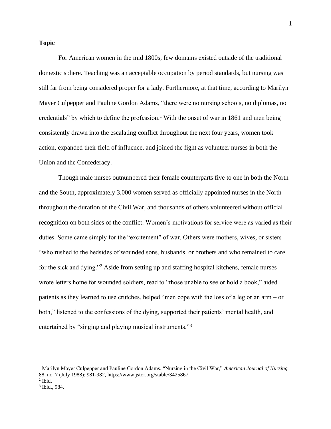## **Topic**

For American women in the mid 1800s, few domains existed outside of the traditional domestic sphere. Teaching was an acceptable occupation by period standards, but nursing was still far from being considered proper for a lady. Furthermore, at that time, according to Marilyn Mayer Culpepper and Pauline Gordon Adams, "there were no nursing schools, no diplomas, no credentials" by which to define the profession.<sup>1</sup> With the onset of war in 1861 and men being consistently drawn into the escalating conflict throughout the next four years, women took action, expanded their field of influence, and joined the fight as volunteer nurses in both the Union and the Confederacy.

Though male nurses outnumbered their female counterparts five to one in both the North and the South, approximately 3,000 women served as officially appointed nurses in the North throughout the duration of the Civil War, and thousands of others volunteered without official recognition on both sides of the conflict. Women's motivations for service were as varied as their duties. Some came simply for the "excitement" of war. Others were mothers, wives, or sisters "who rushed to the bedsides of wounded sons, husbands, or brothers and who remained to care for the sick and dying."<sup>2</sup> Aside from setting up and staffing hospital kitchens, female nurses wrote letters home for wounded soldiers, read to "those unable to see or hold a book," aided patients as they learned to use crutches, helped "men cope with the loss of a leg or an arm – or both," listened to the confessions of the dying, supported their patients' mental health, and entertained by "singing and playing musical instruments."<sup>3</sup>

<sup>1</sup> Marilyn Mayer Culpepper and Pauline Gordon Adams, "Nursing in the Civil War," *American Journal of Nursing* 88, no. 7 (July 1988): 981-982, https://www.jstor.org/stable/3425867.

 $<sup>2</sup>$  Ibid.</sup>

<sup>3</sup> Ibid., 984.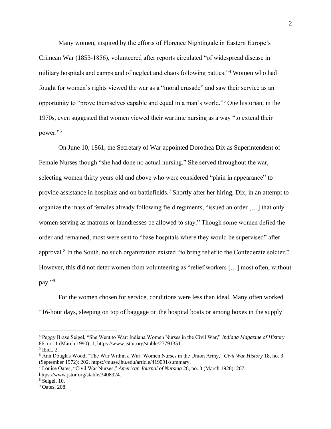Many women, inspired by the efforts of Florence Nightingale in Eastern Europe's Crimean War (1853-1856), volunteered after reports circulated "of widespread disease in military hospitals and camps and of neglect and chaos following battles."<sup>4</sup> Women who had fought for women's rights viewed the war as a "moral crusade" and saw their service as an opportunity to "prove themselves capable and equal in a man's world."<sup>5</sup> One historian, in the 1970s, even suggested that women viewed their wartime nursing as a way "to extend their power."<sup>6</sup>

On June 10, 1861, the Secretary of War appointed Dorothea Dix as Superintendent of Female Nurses though "she had done no actual nursing." She served throughout the war, selecting women thirty years old and above who were considered "plain in appearance" to provide assistance in hospitals and on battlefields.<sup>7</sup> Shortly after her hiring, Dix, in an attempt to organize the mass of females already following field regiments, "issued an order […] that only women serving as matrons or laundresses be allowed to stay." Though some women defied the order and remained, most were sent to "base hospitals where they would be supervised" after approval.<sup>8</sup> In the South, no such organization existed "to bring relief to the Confederate soldier." However, this did not deter women from volunteering as "relief workers […] most often, without pay."<sup>9</sup>

For the women chosen for service, conditions were less than ideal. Many often worked "16-hour days, sleeping on top of baggage on the hospital boats or among boxes in the supply

<sup>4</sup> Peggy Brase Seigel, "She Went to War: Indiana Women Nurses in the Civil War," *Indiana Magazine of History* 86, no. 1 (March 1990): 1, https://www.jstor.org/stable/27791351.

<sup>5</sup> Ibid., 2.

<sup>6</sup> Ann Douglas Wood, "The War Within a War: Women Nurses in the Union Army," *Civil War History* 18, no. 3 (September 1972): 202, https://muse.jhu.edu/article/419091/summary.

<sup>7</sup> Louise Oates, "Civil War Nurses," *American Journal of Nursing* 28, no. 3 (March 1928): 207, https://www.jstor.org/stable/3408924.

<sup>8</sup> Seigel, 10.

<sup>&</sup>lt;sup>9</sup> Oates, 208.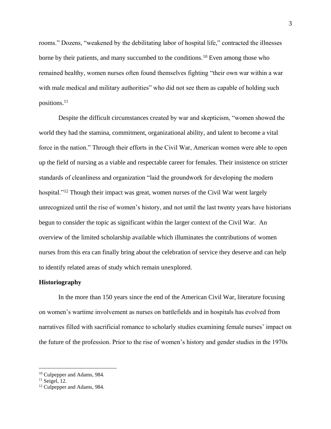rooms." Dozens, "weakened by the debilitating labor of hospital life," contracted the illnesses borne by their patients, and many succumbed to the conditions.<sup>10</sup> Even among those who remained healthy, women nurses often found themselves fighting "their own war within a war with male medical and military authorities" who did not see them as capable of holding such positions.<sup>11</sup>

Despite the difficult circumstances created by war and skepticism, "women showed the world they had the stamina, commitment, organizational ability, and talent to become a vital force in the nation." Through their efforts in the Civil War, American women were able to open up the field of nursing as a viable and respectable career for females. Their insistence on stricter standards of cleanliness and organization "laid the groundwork for developing the modern hospital."<sup>12</sup> Though their impact was great, women nurses of the Civil War went largely unrecognized until the rise of women's history, and not until the last twenty years have historians begun to consider the topic as significant within the larger context of the Civil War. An overview of the limited scholarship available which illuminates the contributions of women nurses from this era can finally bring about the celebration of service they deserve and can help to identify related areas of study which remain unexplored.

## **Historiography**

In the more than 150 years since the end of the American Civil War, literature focusing on women's wartime involvement as nurses on battlefields and in hospitals has evolved from narratives filled with sacrificial romance to scholarly studies examining female nurses' impact on the future of the profession. Prior to the rise of women's history and gender studies in the 1970s

<sup>10</sup> Culpepper and Adams, 984.

 $11$  Seigel, 12.

<sup>&</sup>lt;sup>12</sup> Culpepper and Adams, 984.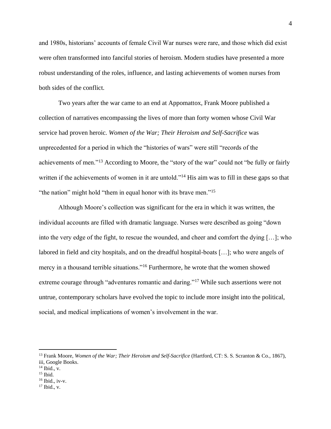and 1980s, historians' accounts of female Civil War nurses were rare, and those which did exist were often transformed into fanciful stories of heroism. Modern studies have presented a more robust understanding of the roles, influence, and lasting achievements of women nurses from both sides of the conflict.

Two years after the war came to an end at Appomattox, Frank Moore published a collection of narratives encompassing the lives of more than forty women whose Civil War service had proven heroic. *Women of the War; Their Heroism and Self-Sacrifice* was unprecedented for a period in which the "histories of wars" were still "records of the achievements of men."<sup>13</sup> According to Moore, the "story of the war" could not "be fully or fairly written if the achievements of women in it are untold."<sup>14</sup> His aim was to fill in these gaps so that "the nation" might hold "them in equal honor with its brave men."<sup>15</sup>

Although Moore's collection was significant for the era in which it was written, the individual accounts are filled with dramatic language. Nurses were described as going "down into the very edge of the fight, to rescue the wounded, and cheer and comfort the dying […]; who labored in field and city hospitals, and on the dreadful hospital-boats […]; who were angels of mercy in a thousand terrible situations."<sup>16</sup> Furthermore, he wrote that the women showed extreme courage through "adventures romantic and daring."<sup>17</sup> While such assertions were not untrue, contemporary scholars have evolved the topic to include more insight into the political, social, and medical implications of women's involvement in the war.

 $16$  Ibid., iv-v.

<sup>&</sup>lt;sup>13</sup> Frank Moore, *Women of the War; Their Heroism and Self-Sacrifice* (Hartford, CT: S. S. Scranton & Co., 1867), iii, Google Books.

 $14$  Ibid., v.

<sup>15</sup> Ibid.

 $17$  Ibid., v.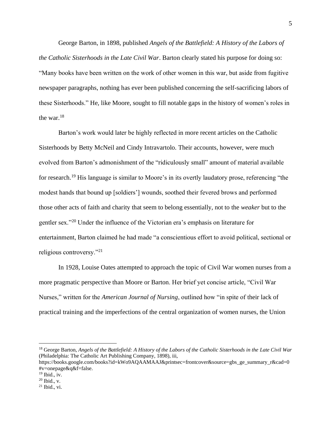George Barton, in 1898, published *Angels of the Battlefield: A History of the Labors of the Catholic Sisterhoods in the Late Civil War*. Barton clearly stated his purpose for doing so: "Many books have been written on the work of other women in this war, but aside from fugitive newspaper paragraphs, nothing has ever been published concerning the self-sacrificing labors of these Sisterhoods." He, like Moore, sought to fill notable gaps in the history of women's roles in the war.<sup>18</sup>

Barton's work would later be highly reflected in more recent articles on the Catholic Sisterhoods by Betty McNeil and Cindy Intravartolo. Their accounts, however, were much evolved from Barton's admonishment of the "ridiculously small" amount of material available for research.<sup>19</sup> His language is similar to Moore's in its overtly laudatory prose, referencing "the modest hands that bound up [soldiers'] wounds, soothed their fevered brows and performed those other acts of faith and charity that seem to belong essentially, not to the *weaker* but to the gentler sex."<sup>20</sup> Under the influence of the Victorian era's emphasis on literature for entertainment, Barton claimed he had made "a conscientious effort to avoid political, sectional or religious controversy."<sup>21</sup>

In 1928, Louise Oates attempted to approach the topic of Civil War women nurses from a more pragmatic perspective than Moore or Barton. Her brief yet concise article, "Civil War Nurses," written for the *American Journal of Nursing*, outlined how "in spite of their lack of practical training and the imperfections of the central organization of women nurses, the Union

<sup>18</sup> George Barton, *Angels of the Battlefield: A History of the Labors of the Catholic Sisterhoods in the Late Civil War* (Philadelphia: The Catholic Art Publishing Company, 1898), iii,

https://books.google.com/books?id=kWo9AQAAMAAJ&printsec=frontcover&source=gbs\_ge\_summary\_r&cad=0 #v=onepage&q&f=false.

 $19$  Ibid., iv.

<sup>20</sup> Ibid., v.

 $21$  Ibid., vi.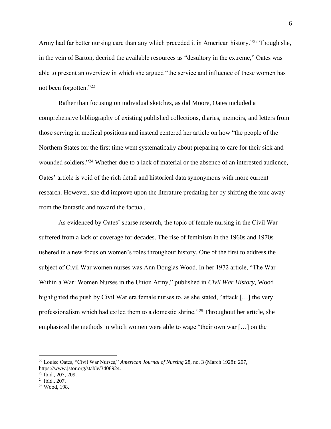Army had far better nursing care than any which preceded it in American history."<sup>22</sup> Though she, in the vein of Barton, decried the available resources as "desultory in the extreme," Oates was able to present an overview in which she argued "the service and influence of these women has not been forgotten."<sup>23</sup>

Rather than focusing on individual sketches, as did Moore, Oates included a comprehensive bibliography of existing published collections, diaries, memoirs, and letters from those serving in medical positions and instead centered her article on how "the people of the Northern States for the first time went systematically about preparing to care for their sick and wounded soldiers."<sup>24</sup> Whether due to a lack of material or the absence of an interested audience, Oates' article is void of the rich detail and historical data synonymous with more current research. However, she did improve upon the literature predating her by shifting the tone away from the fantastic and toward the factual.

As evidenced by Oates' sparse research, the topic of female nursing in the Civil War suffered from a lack of coverage for decades. The rise of feminism in the 1960s and 1970s ushered in a new focus on women's roles throughout history. One of the first to address the subject of Civil War women nurses was Ann Douglas Wood. In her 1972 article, "The War Within a War: Women Nurses in the Union Army," published in *Civil War History*, Wood highlighted the push by Civil War era female nurses to, as she stated, "attack [...] the very professionalism which had exiled them to a domestic shrine."<sup>25</sup> Throughout her article, she emphasized the methods in which women were able to wage "their own war […] on the

<sup>22</sup> Louise Oates, "Civil War Nurses," *American Journal of Nursing* 28, no. 3 (March 1928): 207, https://www.jstor.org/stable/3408924.

<sup>23</sup> Ibid., 207, 209.

<sup>24</sup> Ibid., 207.

<sup>25</sup> Wood, 198.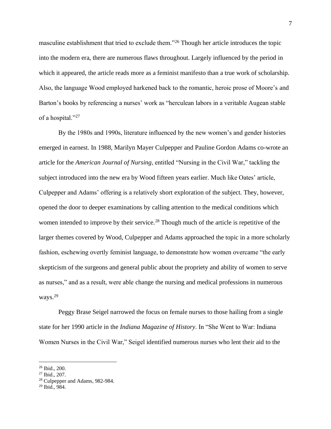masculine establishment that tried to exclude them."<sup>26</sup> Though her article introduces the topic into the modern era, there are numerous flaws throughout. Largely influenced by the period in which it appeared, the article reads more as a feminist manifesto than a true work of scholarship. Also, the language Wood employed harkened back to the romantic, heroic prose of Moore's and Barton's books by referencing a nurses' work as "herculean labors in a veritable Augean stable of a hospital."<sup>27</sup>

By the 1980s and 1990s, literature influenced by the new women's and gender histories emerged in earnest. In 1988, Marilyn Mayer Culpepper and Pauline Gordon Adams co-wrote an article for the *American Journal of Nursing*, entitled "Nursing in the Civil War," tackling the subject introduced into the new era by Wood fifteen years earlier. Much like Oates' article, Culpepper and Adams' offering is a relatively short exploration of the subject. They, however, opened the door to deeper examinations by calling attention to the medical conditions which women intended to improve by their service.<sup>28</sup> Though much of the article is repetitive of the larger themes covered by Wood, Culpepper and Adams approached the topic in a more scholarly fashion, eschewing overtly feminist language, to demonstrate how women overcame "the early skepticism of the surgeons and general public about the propriety and ability of women to serve as nurses," and as a result, were able change the nursing and medical professions in numerous ways.<sup>29</sup>

Peggy Brase Seigel narrowed the focus on female nurses to those hailing from a single state for her 1990 article in the *Indiana Magazine of History*. In "She Went to War: Indiana Women Nurses in the Civil War," Seigel identified numerous nurses who lent their aid to the

<sup>26</sup> Ibid., 200.

<sup>27</sup> Ibid., 207.

<sup>28</sup> Culpepper and Adams, 982-984.

<sup>29</sup> Ibid., 984.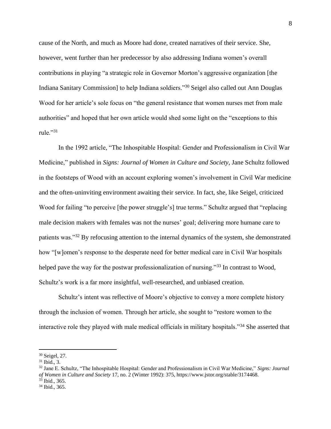cause of the North, and much as Moore had done, created narratives of their service. She, however, went further than her predecessor by also addressing Indiana women's overall contributions in playing "a strategic role in Governor Morton's aggressive organization [the Indiana Sanitary Commission] to help Indiana soldiers."<sup>30</sup> Seigel also called out Ann Douglas Wood for her article's sole focus on "the general resistance that women nurses met from male authorities" and hoped that her own article would shed some light on the "exceptions to this rule." $31$ 

In the 1992 article, "The Inhospitable Hospital: Gender and Professionalism in Civil War Medicine," published in *Signs: Journal of Women in Culture and Society*, Jane Schultz followed in the footsteps of Wood with an account exploring women's involvement in Civil War medicine and the often-uninviting environment awaiting their service. In fact, she, like Seigel, criticized Wood for failing "to perceive [the power struggle's] true terms." Schultz argued that "replacing" male decision makers with females was not the nurses' goal; delivering more humane care to patients was."<sup>32</sup> By refocusing attention to the internal dynamics of the system, she demonstrated how "[w]omen's response to the desperate need for better medical care in Civil War hospitals helped pave the way for the postwar professionalization of nursing."<sup>33</sup> In contrast to Wood, Schultz's work is a far more insightful, well-researched, and unbiased creation.

Schultz's intent was reflective of Moore's objective to convey a more complete history through the inclusion of women. Through her article, she sought to "restore women to the interactive role they played with male medical officials in military hospitals."<sup>34</sup> She asserted that

<sup>33</sup> Ibid., 365.

<sup>30</sup> Seigel, 27.

 $31$  Ibid., 3.

<sup>32</sup> Jane E. Schultz, "The Inhospitable Hospital: Gender and Professionalism in Civil War Medicine," *Signs: Journal of Women in Culture and Society* 17, no. 2 (Winter 1992): 375, https://www.jstor.org/stable/3174468.

<sup>34</sup> Ibid., 365.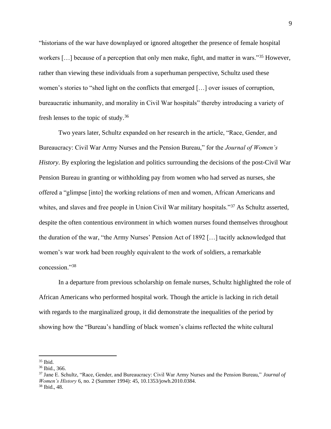"historians of the war have downplayed or ignored altogether the presence of female hospital workers […] because of a perception that only men make, fight, and matter in wars."<sup>35</sup> However, rather than viewing these individuals from a superhuman perspective, Schultz used these women's stories to "shed light on the conflicts that emerged […] over issues of corruption, bureaucratic inhumanity, and morality in Civil War hospitals" thereby introducing a variety of fresh lenses to the topic of study.<sup>36</sup>

Two years later, Schultz expanded on her research in the article, "Race, Gender, and Bureaucracy: Civil War Army Nurses and the Pension Bureau," for the *Journal of Women's History*. By exploring the legislation and politics surrounding the decisions of the post-Civil War Pension Bureau in granting or withholding pay from women who had served as nurses, she offered a "glimpse [into] the working relations of men and women, African Americans and whites, and slaves and free people in Union Civil War military hospitals."<sup>37</sup> As Schultz asserted, despite the often contentious environment in which women nurses found themselves throughout the duration of the war, "the Army Nurses' Pension Act of 1892 […] tacitly acknowledged that women's war work had been roughly equivalent to the work of soldiers, a remarkable concession."<sup>38</sup>

In a departure from previous scholarship on female nurses, Schultz highlighted the role of African Americans who performed hospital work. Though the article is lacking in rich detail with regards to the marginalized group, it did demonstrate the inequalities of the period by showing how the "Bureau's handling of black women's claims reflected the white cultural

 $35$  Ibid.

<sup>36</sup> Ibid., 366.

<sup>37</sup> Jane E. Schultz, "Race, Gender, and Bureaucracy: Civil War Army Nurses and the Pension Bureau," *Journal of Women's History* 6, no. 2 (Summer 1994): 45, 10.1353/jowh.2010.0384. <sup>38</sup> Ibid., 48.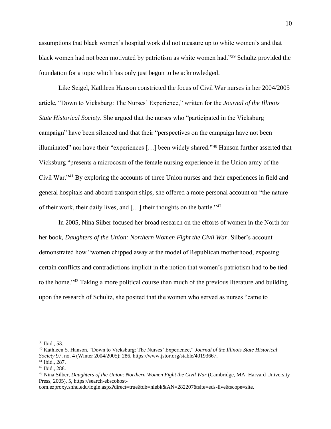assumptions that black women's hospital work did not measure up to white women's and that black women had not been motivated by patriotism as white women had."<sup>39</sup> Schultz provided the foundation for a topic which has only just begun to be acknowledged.

Like Seigel, Kathleen Hanson constricted the focus of Civil War nurses in her 2004/2005 article, "Down to Vicksburg: The Nurses' Experience," written for the *Journal of the Illinois State Historical Society*. She argued that the nurses who "participated in the Vicksburg campaign" have been silenced and that their "perspectives on the campaign have not been illuminated" nor have their "experiences […] been widely shared."<sup>40</sup> Hanson further asserted that Vicksburg "presents a microcosm of the female nursing experience in the Union army of the Civil War."<sup>41</sup> By exploring the accounts of three Union nurses and their experiences in field and general hospitals and aboard transport ships, she offered a more personal account on "the nature of their work, their daily lives, and […] their thoughts on the battle."<sup>42</sup>

In 2005, Nina Silber focused her broad research on the efforts of women in the North for her book, *Daughters of the Union: Northern Women Fight the Civil War*. Silber's account demonstrated how "women chipped away at the model of Republican motherhood, exposing certain conflicts and contradictions implicit in the notion that women's patriotism had to be tied to the home."<sup>43</sup> Taking a more political course than much of the previous literature and building upon the research of Schultz, she posited that the women who served as nurses "came to

<sup>39</sup> Ibid., 53.

<sup>40</sup> Kathleen S. Hanson, "Down to Vicksburg: The Nurses' Experience," *Journal of the Illinois State Historical Society* 97, no. 4 (Winter 2004/2005): 286, https://www.jstor.org/stable/40193667.

<sup>41</sup> Ibid., 287.

<sup>42</sup> Ibid., 288.

<sup>43</sup> Nina Silber, *Daughters of the Union: Northern Women Fight the Civil War* (Cambridge, MA: Harvard University Press, 2005), 5, https://search-ebscohost-

com.ezproxy.snhu.edu/login.aspx?direct=true&db=nlebk&AN=282207&site=eds-live&scope=site.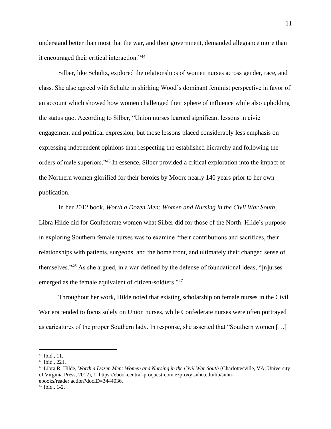understand better than most that the war, and their government, demanded allegiance more than it encouraged their critical interaction."<sup>44</sup>

Silber, like Schultz, explored the relationships of women nurses across gender, race, and class. She also agreed with Schultz in shirking Wood's dominant feminist perspective in favor of an account which showed how women challenged their sphere of influence while also upholding the status quo. According to Silber, "Union nurses learned significant lessons in civic engagement and political expression, but those lessons placed considerably less emphasis on expressing independent opinions than respecting the established hierarchy and following the orders of male superiors."<sup>45</sup> In essence, Silber provided a critical exploration into the impact of the Northern women glorified for their heroics by Moore nearly 140 years prior to her own publication.

In her 2012 book, *Worth a Dozen Men: Women and Nursing in the Civil War South*, Libra Hilde did for Confederate women what Silber did for those of the North. Hilde's purpose in exploring Southern female nurses was to examine "their contributions and sacrifices, their relationships with patients, surgeons, and the home front, and ultimately their changed sense of themselves."<sup>46</sup> As she argued, in a war defined by the defense of foundational ideas, "[n]urses emerged as the female equivalent of citizen-soldiers."<sup>47</sup>

Throughout her work, Hilde noted that existing scholarship on female nurses in the Civil War era tended to focus solely on Union nurses, while Confederate nurses were often portrayed as caricatures of the proper Southern lady. In response, she asserted that "Southern women […]

<sup>44</sup> Ibid., 11.

<sup>45</sup> Ibid., 221.

<sup>46</sup> Libra R. Hilde, *Worth a Dozen Men: Women and Nursing in the Civil War South* (Charlottesville, VA: University of Virginia Press, 2012), 1, https://ebookcentral-proquest-com.ezproxy.snhu.edu/lib/snhuebooks/reader.action?docID=3444036.

<sup>47</sup> Ibid., 1-2.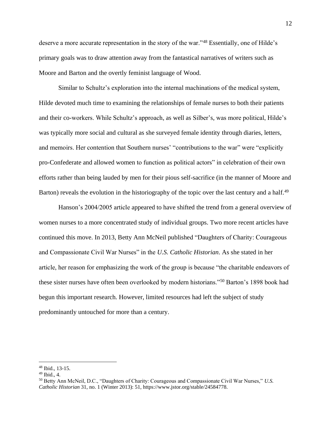deserve a more accurate representation in the story of the war."<sup>48</sup> Essentially, one of Hilde's primary goals was to draw attention away from the fantastical narratives of writers such as Moore and Barton and the overtly feminist language of Wood.

Similar to Schultz's exploration into the internal machinations of the medical system, Hilde devoted much time to examining the relationships of female nurses to both their patients and their co-workers. While Schultz's approach, as well as Silber's, was more political, Hilde's was typically more social and cultural as she surveyed female identity through diaries, letters, and memoirs. Her contention that Southern nurses' "contributions to the war" were "explicitly pro-Confederate and allowed women to function as political actors" in celebration of their own efforts rather than being lauded by men for their pious self-sacrifice (in the manner of Moore and Barton) reveals the evolution in the historiography of the topic over the last century and a half.<sup>49</sup>

Hanson's 2004/2005 article appeared to have shifted the trend from a general overview of women nurses to a more concentrated study of individual groups. Two more recent articles have continued this move. In 2013, Betty Ann McNeil published "Daughters of Charity: Courageous and Compassionate Civil War Nurses" in the *U.S. Catholic Historian*. As she stated in her article, her reason for emphasizing the work of the group is because "the charitable endeavors of these sister nurses have often been overlooked by modern historians."<sup>50</sup> Barton's 1898 book had begun this important research. However, limited resources had left the subject of study predominantly untouched for more than a century.

<sup>48</sup> Ibid., 13-15.

<sup>49</sup> Ibid., 4.

<sup>50</sup> Betty Ann McNeil, D.C., "Daughters of Charity: Courageous and Compassionate Civil War Nurses," *U.S. Catholic Historian* 31, no. 1 (Winter 2013): 51, https://www.jstor.org/stable/24584778.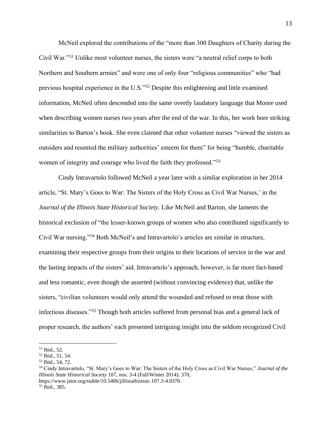McNeil explored the contributions of the "more than 300 Daughters of Charity during the Civil War."<sup>51</sup> Unlike most volunteer nurses, the sisters were "a neutral relief corps to both Northern and Southern armies" and were one of only four "religious communities" who "had previous hospital experience in the U.S."<sup>52</sup> Despite this enlightening and little examined information, McNeil often descended into the same overtly laudatory language that Moore used when describing women nurses two years after the end of the war. In this, her work bore striking similarities to Barton's book. She even claimed that other volunteer nurses "viewed the sisters as outsiders and resented the military authorities' esteem for them" for being "humble, charitable women of integrity and courage who lived the faith they professed."<sup>53</sup>

Cindy Intravartolo followed McNeil a year later with a similar exploration in her 2014 article, "St. Mary's Goes to War: The Sisters of the Holy Cross as Civil War Nurses,' in the *Journal of the Illinois State Historical Society*. Like McNeil and Barton, she laments the historical exclusion of "the lesser-known groups of women who also contributed significantly to Civil War nursing."<sup>54</sup> Both McNeil's and Intravartolo's articles are similar in structure, examining their respective groups from their origins to their locations of service in the war and the lasting impacts of the sisters' aid. Intravartolo's approach, however, is far more fact-based and less romantic, even though she asserted (without convincing evidence) that, unlike the sisters, "civilian volunteers would only attend the wounded and refused to treat those with infectious diseases."<sup>55</sup> Though both articles suffered from personal bias and a general lack of proper research, the authors' each presented intriguing insight into the seldom recognized Civil

<sup>51</sup> Ibid., 52.

<sup>52</sup> Ibid., 51, 54.

<sup>53</sup> Ibid., 54, 72.

<sup>54</sup> Cindy Intravartolo, "St. Mary's Goes to War: The Sisters of the Holy Cross as Civil War Nurses," *Journal of the Illinois State Historical Society* 107, nos. 3-4 (Fall/Winter 2014): 370, https://www.jstor.org/stable/10.5406/jillistathistsoc.107.3-4.0370.

<sup>55</sup> Ibid., 385.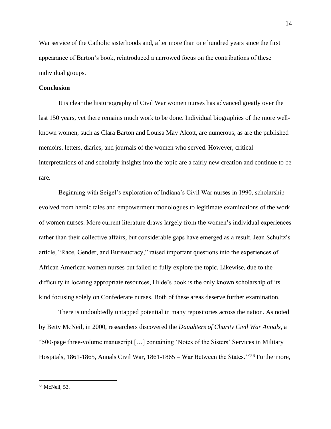War service of the Catholic sisterhoods and, after more than one hundred years since the first appearance of Barton's book, reintroduced a narrowed focus on the contributions of these individual groups.

## **Conclusion**

It is clear the historiography of Civil War women nurses has advanced greatly over the last 150 years, yet there remains much work to be done. Individual biographies of the more wellknown women, such as Clara Barton and Louisa May Alcott, are numerous, as are the published memoirs, letters, diaries, and journals of the women who served. However, critical interpretations of and scholarly insights into the topic are a fairly new creation and continue to be rare.

Beginning with Seigel's exploration of Indiana's Civil War nurses in 1990, scholarship evolved from heroic tales and empowerment monologues to legitimate examinations of the work of women nurses. More current literature draws largely from the women's individual experiences rather than their collective affairs, but considerable gaps have emerged as a result. Jean Schultz's article, "Race, Gender, and Bureaucracy," raised important questions into the experiences of African American women nurses but failed to fully explore the topic. Likewise, due to the difficulty in locating appropriate resources, Hilde's book is the only known scholarship of its kind focusing solely on Confederate nurses. Both of these areas deserve further examination.

There is undoubtedly untapped potential in many repositories across the nation. As noted by Betty McNeil, in 2000, researchers discovered the *Daughters of Charity Civil War Annals*, a "500-page three-volume manuscript […] containing 'Notes of the Sisters' Services in Military Hospitals, 1861-1865, Annals Civil War, 1861-1865 – War Between the States.'"<sup>56</sup> Furthermore,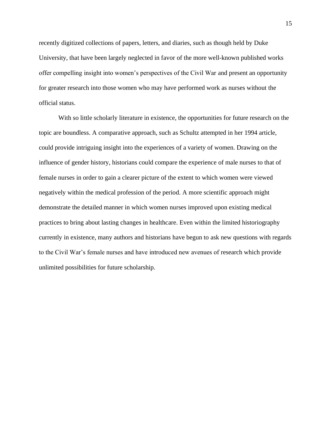recently digitized collections of papers, letters, and diaries, such as though held by Duke University, that have been largely neglected in favor of the more well-known published works offer compelling insight into women's perspectives of the Civil War and present an opportunity for greater research into those women who may have performed work as nurses without the official status.

With so little scholarly literature in existence, the opportunities for future research on the topic are boundless. A comparative approach, such as Schultz attempted in her 1994 article, could provide intriguing insight into the experiences of a variety of women. Drawing on the influence of gender history, historians could compare the experience of male nurses to that of female nurses in order to gain a clearer picture of the extent to which women were viewed negatively within the medical profession of the period. A more scientific approach might demonstrate the detailed manner in which women nurses improved upon existing medical practices to bring about lasting changes in healthcare. Even within the limited historiography currently in existence, many authors and historians have begun to ask new questions with regards to the Civil War's female nurses and have introduced new avenues of research which provide unlimited possibilities for future scholarship.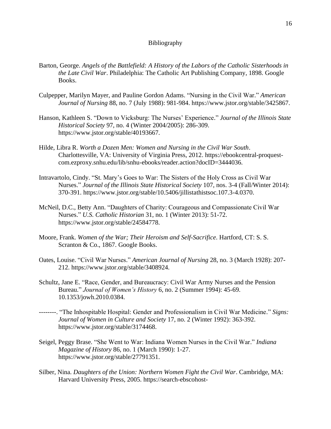## Bibliography

- Barton, George. *Angels of the Battlefield: A History of the Labors of the Catholic Sisterhoods in the Late Civil War*. Philadelphia: The Catholic Art Publishing Company, 1898. Google Books.
- Culpepper, Marilyn Mayer, and Pauline Gordon Adams. "Nursing in the Civil War." *American Journal of Nursing* 88, no. 7 (July 1988): 981-984. https://www.jstor.org/stable/3425867.
- Hanson, Kathleen S. "Down to Vicksburg: The Nurses' Experience." *Journal of the Illinois State Historical Society* 97, no. 4 (Winter 2004/2005): 286-309. https://www.jstor.org/stable/40193667.
- Hilde, Libra R. *Worth a Dozen Men: Women and Nursing in the Civil War South*. Charlottesville, VA: University of Virginia Press, 2012. https://ebookcentral-proquestcom.ezproxy.snhu.edu/lib/snhu-ebooks/reader.action?docID=3444036.
- Intravartolo, Cindy. "St. Mary's Goes to War: The Sisters of the Holy Cross as Civil War Nurses." *Journal of the Illinois State Historical Society* 107, nos. 3-4 (Fall/Winter 2014): 370-391. https://www.jstor.org/stable/10.5406/jillistathistsoc.107.3-4.0370.
- McNeil, D.C., Betty Ann. "Daughters of Charity: Courageous and Compassionate Civil War Nurses." *U.S. Catholic Historian* 31, no. 1 (Winter 2013): 51-72. https://www.jstor.org/stable/24584778.
- Moore, Frank. *Women of the War; Their Heroism and Self-Sacrifice*. Hartford, CT: S. S. Scranton & Co., 1867. Google Books.
- Oates, Louise. "Civil War Nurses." *American Journal of Nursing* 28, no. 3 (March 1928): 207- 212. https://www.jstor.org/stable/3408924.
- Schultz, Jane E. "Race, Gender, and Bureaucracy: Civil War Army Nurses and the Pension Bureau." *Journal of Women's History* 6, no. 2 (Summer 1994): 45-69. 10.1353/jowh.2010.0384.
- --------. "The Inhospitable Hospital: Gender and Professionalism in Civil War Medicine." *Signs: Journal of Women in Culture and Society* 17, no. 2 (Winter 1992): 363-392. https://www.jstor.org/stable/3174468.
- Seigel, Peggy Brase. "She Went to War: Indiana Women Nurses in the Civil War." *Indiana Magazine of History* 86, no. 1 (March 1990): 1-27. https://www.jstor.org/stable/27791351.
- Silber, Nina. *Daughters of the Union: Northern Women Fight the Civil War*. Cambridge, MA: Harvard University Press, 2005. https://search-ebscohost-